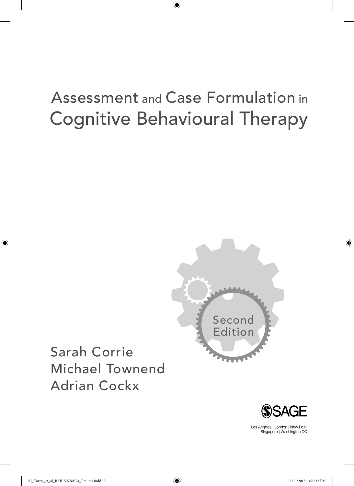# Cognitive Behavioural Therapy Assessment and Case Formulation in

 $\bigoplus$ 







Los Angeles | London | New Delhi Singapore | Washington DC

00\_Corrie\_et\_al\_BAB1507B0374\_Prelims.indd 3 11/11/2015 3:29:12 PM

 $\bigoplus$ 

 $\bigoplus$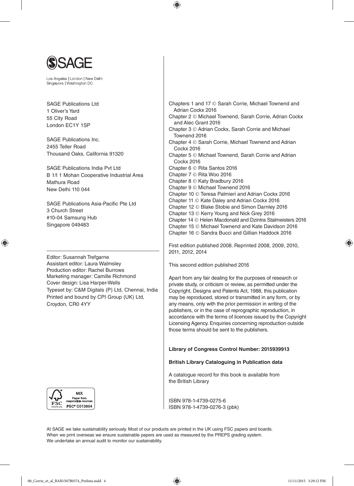

Los Angeles | London | New Delhi Singapore | Washington DC

SAGE Publications Ltd. 1 Oliver's Yard 55 City Road London EC1Y 1SP

SAGE Publications Inc. 2455 Teller Road Thousand Oaks, California 91320

SAGE Publications India Pvt Ltd B 1/I 1 Mohan Cooperative Industrial Area Mathura Road New Delhi 110 044

SAGE Publications Asia-Pacific Pte Ltd 3 Church Street #10-04 Samsung Hub Singapore 049483

⊕

Editor: Susannah Trefgarne Assistant editor: Laura Walmsley Production editor: Rachel Burrows Marketing manager: Camille Richmond Cover design: Lisa Harper-Wells Typeset by: C&M Digitals (P) Ltd, Chennai, India Printed and bound by CPI Group (UK) Ltd, Croydon, CR0 4YY



Chapters 1 and 17 © Sarah Corrie, Michael Townend and Adrian Cockx 2016 Chapter 2 © Michael Townend, Sarah Corrie, Adrian Cockx and Alec Grant 2016 Chapter 3 © Adrian Cockx, Sarah Corrie and Michael Townend 2016 Chapter 4 © Sarah Corrie, Michael Townend and Adrian Cockx 2016 Chapter 5 © Michael Townend, Sarah Corrie and Adrian Cockx 2016 Chapter 6 © Rita Santos 2016 Chapter 7 © Rita Woo 2016 Chapter 8 © Katy Bradbury 2016 Chapter 9 © Michael Townend 2016 Chapter 10 © Teresa Palmieri and Adrian Cockx 2016 Chapter 11 © Kate Daley and Adrian Cockx 2016 Chapter 12 © Blake Stobie and Simon Darnley 2016 Chapter 13 © Kerry Young and Nick Grey 2016 Chapter 14 © Helen Macdonald and Dzintra Stalmeisters 2016 Chapter 15 © Michael Townend and Kate Davidson 2016 Chapter 16 © Sandra Bucci and Gillian Haddock 2016

First edition published 2008. Reprinted 2008, 2009, 2010, 2011, 2012, 2014

This second edition published 2016

⊕

Apart from any fair dealing for the purposes of research or private study, or criticism or review, as permitted under the Copyright, Designs and Patents Act, 1988, this publication may be reproduced, stored or transmitted in any form, or by any means, only with the prior permission in writing of the publishers, or in the case of reprographic reproduction, in accordance with the terms of licences issued by the Copyright Licensing Agency. Enquiries concerning reproduction outside those terms should be sent to the publishers.

#### **Library of Congress Control Number: 2015939913**

#### **British Library Cataloguing in Publication data**

A catalogue record for this book is available from the British Library

ISBN 978-1-4739-0275-6 ISBN 978-1-4739-0276-3 (pbk)

At SAGE we take sustainability seriously. Most of our products are printed in the UK using FSC papers and boards. When we print overseas we ensure sustainable papers are used as measured by the PREPS grading system. We undertake an annual audit to monitor our sustainability.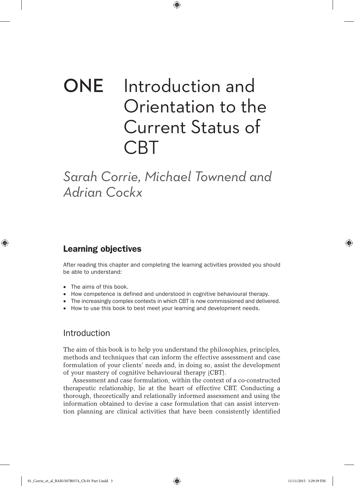# ONE Introduction and Orientation to the Current Status of CBT

⊕

*Sarah Corrie, Michael Townend and Adrian Cockx*

# Learning objectives

⊕

After reading this chapter and completing the learning activities provided you should be able to understand:

- The aims of this book.
- How competence is defined and understood in cognitive behavioural therapy.
- The increasingly complex contexts in which CBT is now commissioned and delivered.
- How to use this book to best meet your learning and development needs.

### Introduction

The aim of this book is to help you understand the philosophies, principles, methods and techniques that can inform the effective assessment and case formulation of your clients' needs and, in doing so, assist the development of your mastery of cognitive behavioural therapy (CBT).

Assessment and case formulation, within the context of a co-constructed therapeutic relationship, lie at the heart of effective CBT. Conducting a thorough, theoretically and relationally informed assessment and using the information obtained to devise a case formulation that can assist intervention planning are clinical activities that have been consistently identified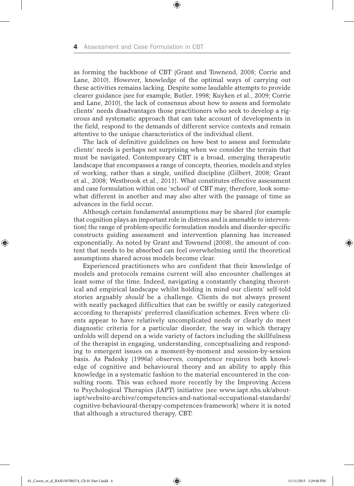as forming the backbone of CBT (Grant and Townend, 2008; Corrie and Lane, 2010). However, knowledge of the optimal ways of carrying out these activities remains lacking. Despite some laudable attempts to provide clearer guidance (see for example, Butler, 1998; Kuyken et al., 2009; Corrie and Lane, 2010), the lack of consensus about how to assess and formulate clients' needs disadvantages those practitioners who seek to develop a rigorous and systematic approach that can take account of developments in the field, respond to the demands of different service contexts and remain attentive to the unique characteristics of the individual client.

⊕

The lack of definitive guidelines on how best to assess and formulate clients' needs is perhaps not surprising when we consider the terrain that must be navigated. Contemporary CBT is a broad, emerging therapeutic landscape that encompasses a range of concepts, theories, models and styles of working, rather than a single, unified discipline (Gilbert, 2008; Grant et al., 2008; Westbrook et al., 2011). What constitutes effective assessment and case formulation within one 'school' of CBT may, therefore, look somewhat different in another and may also alter with the passage of time as advances in the field occur.

Although certain fundamental assumptions may be shared (for example that cognition plays an important role in distress and is amenable to intervention) the range of problem-specific formulation models and disorder-specific constructs guiding assessment and intervention planning has increased exponentially. As noted by Grant and Townend (2008), the amount of content that needs to be absorbed can feel overwhelming until the theoretical assumptions shared across models become clear.

Experienced practitioners who are confident that their knowledge of models and protocols remains current will also encounter challenges at least some of the time. Indeed, navigating a constantly changing theoretical and empirical landscape whilst holding in mind our clients' self-told stories arguably *should* be a challenge. Clients do not always present with neatly packaged difficulties that can be swiftly or easily categorized according to therapists' preferred classification schemes. Even where clients appear to have relatively uncomplicated needs or clearly do meet diagnostic criteria for a particular disorder, the way in which therapy unfolds will depend on a wide variety of factors including the skillfulness of the therapist in engaging, understanding, conceptualizing and responding to emergent issues on a moment-by-moment and session-by-session basis. As Padesky (1996a) observes, competence requires both knowledge of cognitive and behavioural theory and an ability to apply this knowledge in a systematic fashion to the material encountered in the consulting room. This was echoed more recently by the Improving Access to Psychological Therapies (IAPT) initiative (see www.iapt.nhs.uk/aboutiapt/website-archive/competencies-and-national-occupational-standards/ cognitive-behavioural-therapy-competences-framework) where it is noted that although a structured therapy, CBT:

01\_Corrie\_et\_al\_BAB1507B0374\_Ch 01 Part I.indd 4 11/11/2015 3:29:40 PM

⊕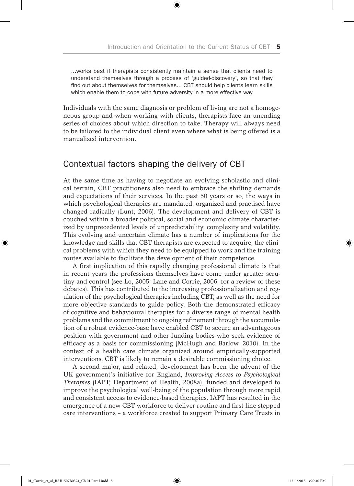...works best if therapists consistently maintain a sense that clients need to understand themselves through a process of 'guided-discovery', so that they find out about themselves for themselves... CBT should help clients learn skills which enable them to cope with future adversity in a more effective way.

⊕

Individuals with the same diagnosis or problem of living are not a homogeneous group and when working with clients, therapists face an unending series of choices about which direction to take. Therapy will always need to be tailored to the individual client even where what is being offered is a manualized intervention.

# Contextual factors shaping the delivery of CBT

At the same time as having to negotiate an evolving scholastic and clinical terrain, CBT practitioners also need to embrace the shifting demands and expectations of their services. In the past 50 years or so, the ways in which psychological therapies are mandated, organized and practised have changed radically (Lunt, 2006). The development and delivery of CBT is couched within a broader political, social and economic climate characterized by unprecedented levels of unpredictability, complexity and volatility. This evolving and uncertain climate has a number of implications for the knowledge and skills that CBT therapists are expected to acquire, the clinical problems with which they need to be equipped to work and the training routes available to facilitate the development of their competence.

A first implication of this rapidly changing professional climate is that in recent years the professions themselves have come under greater scrutiny and control (see Lo, 2005; Lane and Corrie, 2006, for a review of these debates). This has contributed to the increasing professionalization and regulation of the psychological therapies including CBT, as well as the need for more objective standards to guide policy. Both the demonstrated efficacy of cognitive and behavioural therapies for a diverse range of mental health problems and the commitment to ongoing refinement through the accumulation of a robust evidence-base have enabled CBT to secure an advantageous position with government and other funding bodies who seek evidence of efficacy as a basis for commissioning (McHugh and Barlow, 2010). In the context of a health care climate organized around empirically-supported interventions, CBT is likely to remain a desirable commissioning choice.

A second major, and related, development has been the advent of the UK government's initiative for England, *Improving Access to Psychological Therapies* (IAPT; Department of Health, 2008a), funded and developed to improve the psychological well-being of the population through more rapid and consistent access to evidence-based therapies. IAPT has resulted in the emergence of a new CBT workforce to deliver routine and first-line stepped care interventions – a workforce created to support Primary Care Trusts in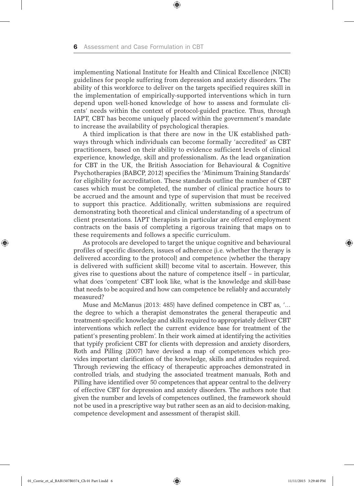implementing National Institute for Health and Clinical Excellence (NICE) guidelines for people suffering from depression and anxiety disorders. The ability of this workforce to deliver on the targets specified requires skill in the implementation of empirically-supported interventions which in turn depend upon well-honed knowledge of how to assess and formulate clients' needs within the context of protocol-guided practice. Thus, through IAPT, CBT has become uniquely placed within the government's mandate to increase the availability of psychological therapies.

⊕

A third implication is that there are now in the UK established pathways through which individuals can become formally 'accredited' as CBT practitioners, based on their ability to evidence sufficient levels of clinical experience, knowledge, skill and professionalism. As the lead organization for CBT in the UK, the British Association for Behavioural & Cognitive Psychotherapies (BABCP, 2012) specifies the 'Minimum Training Standards' for eligibility for accreditation. These standards outline the number of CBT cases which must be completed, the number of clinical practice hours to be accrued and the amount and type of supervision that must be received to support this practice. Additionally, written submissions are required demonstrating both theoretical and clinical understanding of a spectrum of client presentations. IAPT therapists in particular are offered employment contracts on the basis of completing a rigorous training that maps on to these requirements and follows a specific curriculum.

As protocols are developed to target the unique cognitive and behavioural profiles of specific disorders, issues of adherence (i.e. whether the therapy is delivered according to the protocol) and competence (whether the therapy is delivered with sufficient skill) become vital to ascertain. However, this gives rise to questions about the nature of competence itself – in particular, what does 'competent' CBT look like, what is the knowledge and skill-base that needs to be acquired and how can competence be reliably and accurately measured?

Muse and McManus (2013: 485) have defined competence in CBT as, '… the degree to which a therapist demonstrates the general therapeutic and treatment-specific knowledge and skills required to appropriately deliver CBT interventions which reflect the current evidence base for treatment of the patient's presenting problem'. In their work aimed at identifying the activities that typify proficient CBT for clients with depression and anxiety disorders, Roth and Pilling (2007) have devised a map of competences which provides important clarification of the knowledge, skills and attitudes required. Through reviewing the efficacy of therapeutic approaches demonstrated in controlled trials, and studying the associated treatment manuals, Roth and Pilling have identified over 50 competences that appear central to the delivery of effective CBT for depression and anxiety disorders. The authors note that given the number and levels of competences outlined, the framework should not be used in a prescriptive way but rather seen as an aid to decision-making, competence development and assessment of therapist skill.

⊕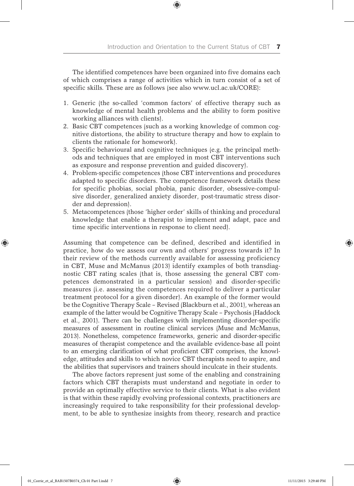The identified competences have been organized into five domains each of which comprises a range of activities which in turn consist of a set of specific skills. These are as follows (see also www.ucl.ac.uk/CORE):

⊕

- 1. Generic (the so-called 'common factors' of effective therapy such as knowledge of mental health problems and the ability to form positive working alliances with clients).
- 2. Basic CBT competences (such as a working knowledge of common cognitive distortions, the ability to structure therapy and how to explain to clients the rationale for homework).
- 3. Specific behavioural and cognitive techniques (e.g. the principal methods and techniques that are employed in most CBT interventions such as exposure and response prevention and guided discovery).
- 4. Problem-specific competences (those CBT interventions and procedures adapted to specific disorders. The competence framework details these for specific phobias, social phobia, panic disorder, obsessive-compulsive disorder, generalized anxiety disorder, post-traumatic stress disorder and depression).
- 5. Metacompetences (those 'higher order' skills of thinking and procedural knowledge that enable a therapist to implement and adapt, pace and time specific interventions in response to client need).

Assuming that competence can be defined, described and identified in practice, how do we assess our own and others' progress towards it? In their review of the methods currently available for assessing proficiency in CBT, Muse and McManus (2013) identify examples of both transdiagnostic CBT rating scales (that is, those assessing the general CBT competences demonstrated in a particular session) and disorder-specific measures (i.e. assessing the competences required to deliver a particular treatment protocol for a given disorder). An example of the former would be the Cognitive Therapy Scale – Revised (Blackburn et al., 2001), whereas an example of the latter would be Cognitive Therapy Scale – Psychosis (Haddock et al., 2001). There can be challenges with implementing disorder-specific measures of assessment in routine clinical services (Muse and McManus, 2013). Nonetheless, competence frameworks, generic and disorder-specific measures of therapist competence and the available evidence-base all point to an emerging clarification of what proficient CBT comprises, the knowledge, attitudes and skills to which novice CBT therapists need to aspire, and the abilities that supervisors and trainers should inculcate in their students.

The above factors represent just some of the enabling and constraining factors which CBT therapists must understand and negotiate in order to provide an optimally effective service to their clients. What is also evident is that within these rapidly evolving professional contexts, practitioners are increasingly required to take responsibility for their professional development, to be able to synthesize insights from theory, research and practice

⊕

 $\Leftrightarrow$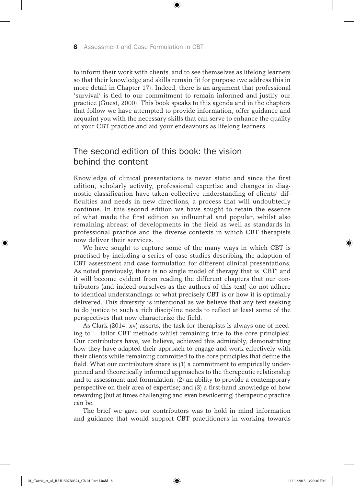to inform their work with clients, and to see themselves as lifelong learners so that their knowledge and skills remain fit for purpose (we address this in more detail in Chapter 17). Indeed, there is an argument that professional 'survival' is tied to our commitment to remain informed and justify our practice (Guest, 2000). This book speaks to this agenda and in the chapters that follow we have attempted to provide information, offer guidance and acquaint you with the necessary skills that can serve to enhance the quality of your CBT practice and aid your endeavours as lifelong learners.

⊕

# The second edition of this book: the vision behind the content

Knowledge of clinical presentations is never static and since the first edition, scholarly activity, professional expertise and changes in diagnostic classification have taken collective understanding of clients' difficulties and needs in new directions, a process that will undoubtedly continue. In this second edition we have sought to retain the essence of what made the first edition so influential and popular, whilst also remaining abreast of developments in the field as well as standards in professional practice and the diverse contexts in which CBT therapists now deliver their services.

We have sought to capture some of the many ways in which CBT is practised by including a series of case studies describing the adaption of CBT assessment and case formulation for different clinical presentations. As noted previously, there is no single model of therapy that is 'CBT' and it will become evident from reading the different chapters that our contributors (and indeed ourselves as the authors of this text) do not adhere to identical understandings of what precisely CBT is or how it is optimally delivered. This diversity is intentional as we believe that any text seeking to do justice to such a rich discipline needs to reflect at least some of the perspectives that now characterize the field.

As Clark (2014: xv) asserts, the task for therapists is always one of needing to '…tailor CBT methods whilst remaining true to the core principles'. Our contributors have, we believe, achieved this admirably, demonstrating how they have adapted their approach to engage and work effectively with their clients while remaining committed to the core principles that define the field. What our contributors share is (1) a commitment to empirically underpinned and theoretically informed approaches to the therapeutic relationship and to assessment and formulation; (2) an ability to provide a contemporary perspective on their area of expertise; and (3) a first-hand knowledge of how rewarding (but at times challenging and even bewildering) therapeutic practice can be.

The brief we gave our contributors was to hold in mind information and guidance that would support CBT practitioners in working towards

01\_Corrie\_et\_al\_BAB1507B0374\_Ch 01 Part I.indd 8 11/11/2015 3:29:40 PM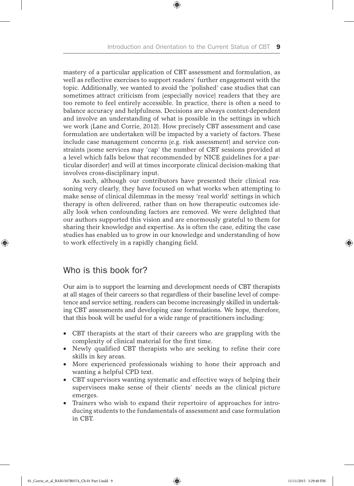⊕

mastery of a particular application of CBT assessment and formulation, as well as reflective exercises to support readers' further engagement with the topic. Additionally, we wanted to avoid the 'polished' case studies that can sometimes attract criticism from (especially novice) readers that they are too remote to feel entirely accessible. In practice, there is often a need to balance accuracy and helpfulness. Decisions are always context-dependent and involve an understanding of what is possible in the settings in which we work (Lane and Corrie, 2012). How precisely CBT assessment and case formulation are undertaken will be impacted by a variety of factors. These include case management concerns (e.g. risk assessment) and service constraints (some services may 'cap' the number of CBT sessions provided at a level which falls below that recommended by NICE guidelines for a particular disorder) and will at times incorporate clinical decision-making that involves cross-disciplinary input.

As such, although our contributors have presented their clinical reasoning very clearly, they have focused on what works when attempting to make sense of clinical dilemmas in the messy 'real world' settings in which therapy is often delivered, rather than on how therapeutic outcomes ideally look when confounding factors are removed. We were delighted that our authors supported this vision and are enormously grateful to them for sharing their knowledge and expertise. As is often the case, editing the case studies has enabled us to grow in our knowledge and understanding of how to work effectively in a rapidly changing field.

## Who is this book for?

♠

Our aim is to support the learning and development needs of CBT therapists at all stages of their careers so that regardless of their baseline level of competence and service setting, readers can become increasingly skilled in undertaking CBT assessments and developing case formulations. We hope, therefore, that this book will be useful for a wide range of practitioners including:

- CBT therapists at the start of their careers who are grappling with the complexity of clinical material for the first time.
- Newly qualified CBT therapists who are seeking to refine their core skills in key areas.
- More experienced professionals wishing to hone their approach and wanting a helpful CPD text.
- CBT supervisors wanting systematic and effective ways of helping their supervisees make sense of their clients' needs as the clinical picture emerges.
- Trainers who wish to expand their repertoire of approaches for introducing students to the fundamentals of assessment and case formulation in CBT.

01\_Corrie\_et\_al\_BAB1507B0374\_Ch 01 Part I.indd 9 11/11/2015 3:29:40 PM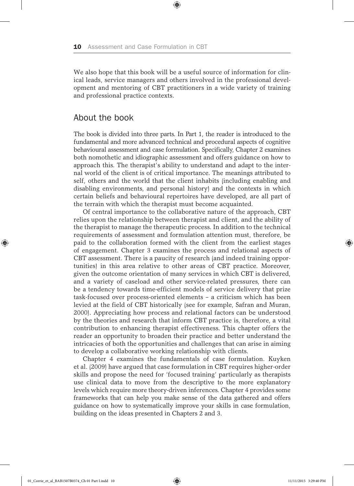We also hope that this book will be a useful source of information for clinical leads, service managers and others involved in the professional development and mentoring of CBT practitioners in a wide variety of training and professional practice contexts.

⊕

#### About the book

The book is divided into three parts. In Part 1, the reader is introduced to the fundamental and more advanced technical and procedural aspects of cognitive behavioural assessment and case formulation. Specifically, Chapter 2 examines both nomothetic and idiographic assessment and offers guidance on how to approach this. The therapist's ability to understand and adapt to the internal world of the client is of critical importance. The meanings attributed to self, others and the world that the client inhabits (including enabling and disabling environments, and personal history) and the contexts in which certain beliefs and behavioural repertoires have developed, are all part of the terrain with which the therapist must become acquainted.

Of central importance to the collaborative nature of the approach, CBT relies upon the relationship between therapist and client, and the ability of the therapist to manage the therapeutic process. In addition to the technical requirements of assessment and formulation attention must, therefore, be paid to the collaboration formed with the client from the earliest stages of engagement. Chapter 3 examines the process and relational aspects of CBT assessment. There is a paucity of research (and indeed training opportunities) in this area relative to other areas of CBT practice. Moreover, given the outcome orientation of many services in which CBT is delivered, and a variety of caseload and other service-related pressures, there can be a tendency towards time-efficient models of service delivery that prize task-focused over process-oriented elements – a criticism which has been levied at the field of CBT historically (see for example, Safran and Muran, 2000). Appreciating how process and relational factors can be understood by the theories and research that inform CBT practice is, therefore, a vital contribution to enhancing therapist effectiveness. This chapter offers the reader an opportunity to broaden their practice and better understand the intricacies of both the opportunities and challenges that can arise in aiming to develop a collaborative working relationship with clients.

Chapter 4 examines the fundamentals of case formulation. Kuyken et al. (2009) have argued that case formulation in CBT requires higher-order skills and propose the need for 'focused training' particularly as therapists use clinical data to move from the descriptive to the more explanatory levels which require more theory-driven inferences. Chapter 4 provides some frameworks that can help you make sense of the data gathered and offers guidance on how to systematically improve your skills in case formulation, building on the ideas presented in Chapters 2 and 3.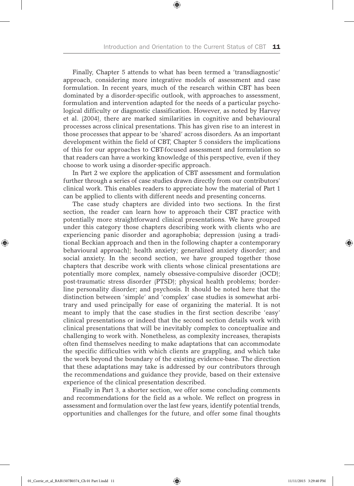⊕

Finally, Chapter 5 attends to what has been termed a 'transdiagnostic' approach, considering more integrative models of assessment and case formulation. In recent years, much of the research within CBT has been dominated by a disorder-specific outlook, with approaches to assessment, formulation and intervention adapted for the needs of a particular psychological difficulty or diagnostic classification. However, as noted by Harvey et al. (2004), there are marked similarities in cognitive and behavioural processes across clinical presentations. This has given rise to an interest in those processes that appear to be 'shared' across disorders. As an important development within the field of CBT, Chapter 5 considers the implications of this for our approaches to CBT-focused assessment and formulation so that readers can have a working knowledge of this perspective, even if they choose to work using a disorder-specific approach.

In Part 2 we explore the application of CBT assessment and formulation further through a series of case studies drawn directly from our contributors' clinical work. This enables readers to appreciate how the material of Part 1 can be applied to clients with different needs and presenting concerns.

The case study chapters are divided into two sections. In the first section, the reader can learn how to approach their CBT practice with potentially more straightforward clinical presentations. We have grouped under this category those chapters describing work with clients who are experiencing panic disorder and agoraphobia; depression (using a traditional Beckian approach and then in the following chapter a contemporary behavioural approach); health anxiety; generalized anxiety disorder; and social anxiety. In the second section, we have grouped together those chapters that describe work with clients whose clinical presentations are potentially more complex, namely obsessive-compulsive disorder (OCD); post-traumatic stress disorder (PTSD); physical health problems; borderline personality disorder; and psychosis. It should be noted here that the distinction between 'simple' and 'complex' case studies is somewhat arbitrary and used principally for ease of organizing the material. It is not meant to imply that the case studies in the first section describe 'easy' clinical presentations or indeed that the second section details work with clinical presentations that will be inevitably complex to conceptualize and challenging to work with. Nonetheless, as complexity increases, therapists often find themselves needing to make adaptations that can accommodate the specific difficulties with which clients are grappling, and which take the work beyond the boundary of the existing evidence-base. The direction that these adaptations may take is addressed by our contributors through the recommendations and guidance they provide, based on their extensive experience of the clinical presentation described.

Finally in Part 3, a shorter section, we offer some concluding comments and recommendations for the field as a whole. We reflect on progress in assessment and formulation over the last few years, identify potential trends, opportunities and challenges for the future, and offer some final thoughts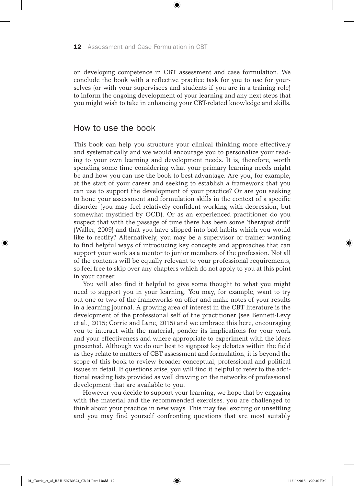on developing competence in CBT assessment and case formulation. We conclude the book with a reflective practice task for you to use for yourselves (or with your supervisees and students if you are in a training role) to inform the ongoing development of your learning and any next steps that you might wish to take in enhancing your CBT-related knowledge and skills.

⊕

### How to use the book

This book can help you structure your clinical thinking more effectively and systematically and we would encourage you to personalize your reading to your own learning and development needs. It is, therefore, worth spending some time considering what your primary learning needs might be and how you can use the book to best advantage. Are you, for example, at the start of your career and seeking to establish a framework that you can use to support the development of your practice? Or are you seeking to hone your assessment and formulation skills in the context of a specific disorder (you may feel relatively confident working with depression, but somewhat mystified by OCD). Or as an experienced practitioner do you suspect that with the passage of time there has been some 'therapist drift' (Waller, 2009) and that you have slipped into bad habits which you would like to rectify? Alternatively, you may be a supervisor or trainer wanting to find helpful ways of introducing key concepts and approaches that can support your work as a mentor to junior members of the profession. Not all of the contents will be equally relevant to your professional requirements, so feel free to skip over any chapters which do not apply to you at this point in your career.

You will also find it helpful to give some thought to what you might need to support you in your learning. You may, for example, want to try out one or two of the frameworks on offer and make notes of your results in a learning journal. A growing area of interest in the CBT literature is the development of the professional self of the practitioner (see Bennett-Levy et al., 2015; Corrie and Lane, 2015) and we embrace this here, encouraging you to interact with the material, ponder its implications for your work and your effectiveness and where appropriate to experiment with the ideas presented. Although we do our best to signpost key debates within the field as they relate to matters of CBT assessment and formulation, it is beyond the scope of this book to review broader conceptual, professional and political issues in detail. If questions arise, you will find it helpful to refer to the additional reading lists provided as well drawing on the networks of professional development that are available to you.

However you decide to support your learning, we hope that by engaging with the material and the recommended exercises, you are challenged to think about your practice in new ways. This may feel exciting or unsettling and you may find yourself confronting questions that are most suitably

01\_Corrie\_et\_al\_BAB1507B0374\_Ch 01 Part I.indd 12 11/11/2015 3:29:40 PM